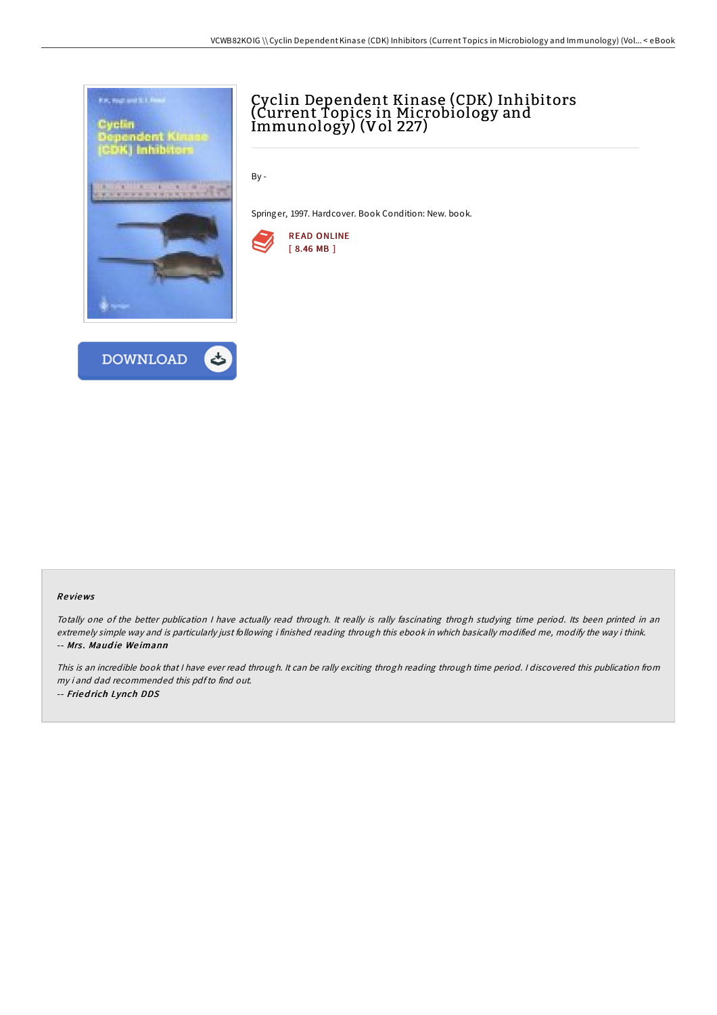



# Cyclin Dependent Kinase (CDK) Inhibitors (Current Topics in Microbiology and Immunology) (Vol 227)

By -

Springer, 1997. Hardcover. Book Condition: New. book.



#### Re views

Totally one of the better publication <sup>I</sup> have actually read through. It really is rally fascinating throgh studying time period. Its been printed in an extremely simple way and is particularly just following i finished reading through this ebook in which basically modified me, modify the way i think. -- Mrs. Maudie Weimann

This is an incredible book that <sup>I</sup> have ever read through. It can be rally exciting throgh reading through time period. <sup>I</sup> discovered this publication from my i and dad recommended this pdfto find out. -- Fried rich Lynch DDS